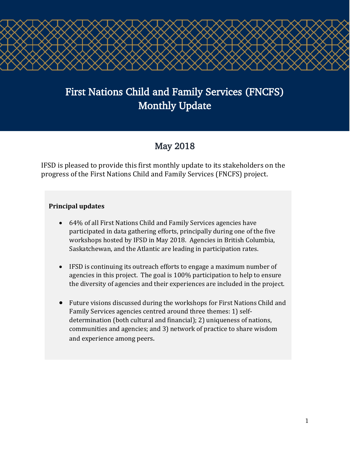# First Nations Child and Family Services (FNCFS) Monthly Update

ζ

Ś

## May 2018

IFSD is pleased to provide this first monthly update to its stakeholders on the progress of the First Nations Child and Family Services (FNCFS) project.

#### **Principal updates**

- 64% of all First Nations Child and Family Services agencies have participated in data gathering efforts, principally during one of the five workshops hosted by IFSD in May 2018. Agencies in British Columbia, Saskatchewan, and the Atlantic are leading in participation rates.
- IFSD is continuing its outreach efforts to engage a maximum number of agencies in this project. The goal is 100% participation to help to ensure the diversity of agencies and their experiences are included in the project.
- Future visions discussed during the workshops for First Nations Child and Family Services agencies centred around three themes: 1) selfdetermination (both cultural and financial); 2) uniqueness of nations, communities and agencies; and 3) network of practice to share wisdom and experience among peers.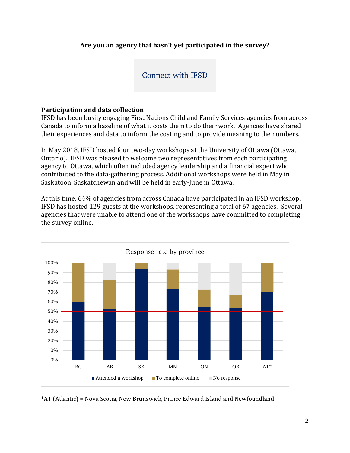#### **Are you an agency that hasn't yet participated in the survey?**

#### [Connect with IFSD](mailto:helaina.gaspard@ifsd.ca?subject=Schedule online - FNCFS Agency Survey)

#### **Participation and data collection**

IFSD has been busily engaging First Nations Child and Family Services agencies from across Canada to inform a baseline of what it costs them to do their work. Agencies have shared their experiences and data to inform the costing and to provide meaning to the numbers.

In May 2018, IFSD hosted four two-day workshops at the University of Ottawa (Ottawa, Ontario). IFSD was pleased to welcome two representatives from each participating agency to Ottawa, which often included agency leadership and a financial expert who contributed to the data-gathering process. Additional workshops were held in May in Saskatoon, Saskatchewan and will be held in early-June in Ottawa.

At this time, 64% of agencies from across Canada have participated in an IFSD workshop. IFSD has hosted 129 guests at the workshops, representing a total of 67 agencies. Several agencies that were unable to attend one of the workshops have committed to completing the survey online.



\*AT (Atlantic) = Nova Scotia, New Brunswick, Prince Edward Island and Newfoundland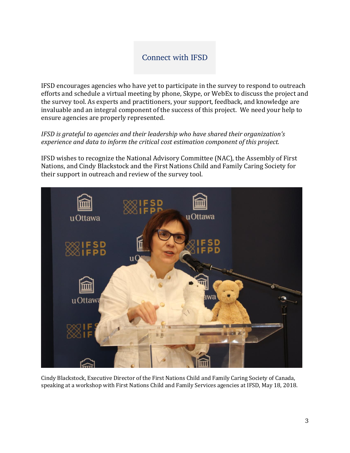### [Connect with IFSD](mailto:helaina.gaspard@ifsd.ca?subject=Schedule online - FNCFS Agency Survey)

IFSD encourages agencies who have yet to participate in the survey to respond to outreach efforts and schedule a virtual meeting by phone, Skype, or WebEx to discuss the project and the survey tool. As experts and practitioners, your support, feedback, and knowledge are invaluable and an integral component of the success of this project. We need your help to ensure agencies are properly represented.

*IFSD is grateful to agencies and their leadership who have shared their organization's experience and data to inform the critical cost estimation component of this project.*

IFSD wishes to recognize the National Advisory Committee (NAC), the Assembly of First Nations, and Cindy Blackstock and the First Nations Child and Family Caring Society for their support in outreach and review of the survey tool.



Cindy Blackstock, Executive Director of the First Nations Child and Family Caring Society of Canada, speaking at a workshop with First Nations Child and Family Services agencies at IFSD, May 18, 2018.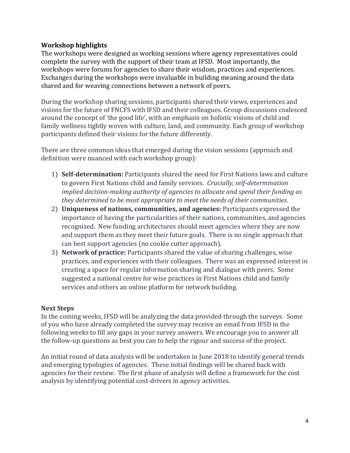#### **Workshop highlights**

The workshops were designed as working sessions where agency representatives could complete the survey with the support of their team at IFSD. Most importantly, the workshops were forums for agencies to share their wisdom, practices and experiences. Exchanges during the workshops were invaluable in building meaning around the data shared and for weaving connections between a network of peers.

During the workshop sharing sessions, participants shared their views, experiences and visions for the future of FNCFS with IFSD and their colleagues. Group discussions coalesced around the concept of 'the good life', with an emphasis on holistic visions of child and family wellness tightly woven with culture, land, and community. Each group of workshop participants defined their visions for the future differently.

There are three common ideas that emerged during the vision sessions (approach and definition were nuanced with each workshop group):

- 1) **Self-determination:** Participants shared the need for First Nations laws and culture to govern First Nations child and family services. *Crucially, self-determination implied decision-making authority of agencies to allocate and spend their funding as they determined to be most appropriate to meet the needs of their communities*.
- 2) **Uniqueness of nations, communities, and agencies:** Participants expressed the importance of having the particularities of their nations, communities, and agencies recognized. New funding architectures should meet agencies where they are now and support them as they meet their future goals. There is no single approach that can best support agencies (no cookie cutter approach).
- 3) **Network of practice:** Participants shared the value of sharing challenges, wise practices, and experiences with their colleagues. There was an expressed interest in creating a space for regular information sharing and dialogue with peers. Some suggested a national centre for wise practices in First Nations child and family services and others an online platform for network building.

#### **Next Steps**

In the coming weeks, IFSD will be analyzing the data provided through the surveys. Some of you who have already completed the survey may receive an email from IFSD in the following weeks to fill any gaps in your survey answers. We encourage you to answer all the follow-up questions as best you can to help the rigour and success of the project.

An initial round of data analysis will be undertaken in June 2018 to identify general trends and emerging typologies of agencies. These initial findings will be shared back with agencies for their review. The first phase of analysis will define a framework for the cost analysis by identifying potential cost-drivers in agency activities.